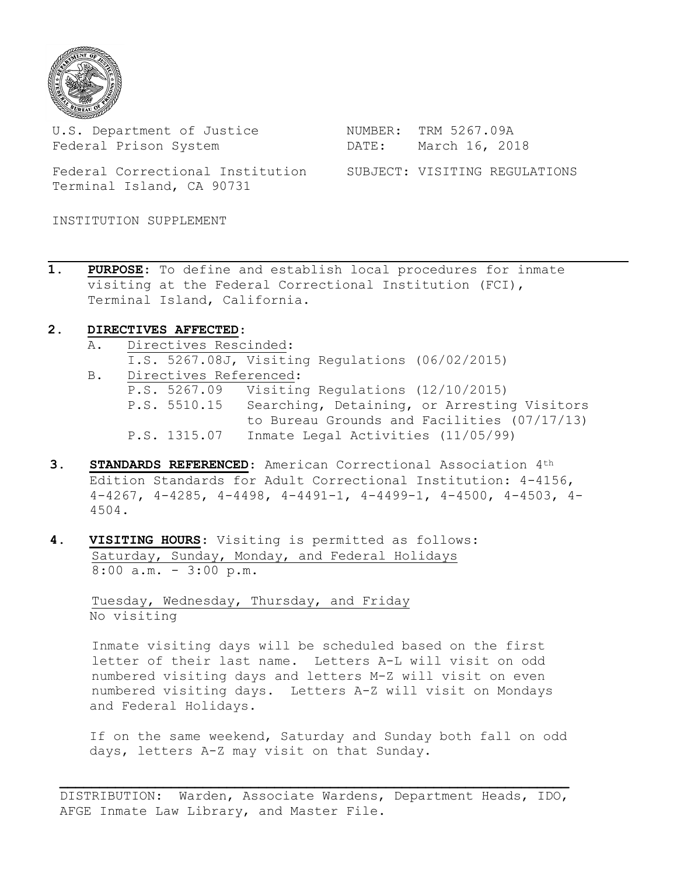

U.S. Department of Justice MUMBER: TRM 5267.09A Federal Prison System DATE: March 16, 2018

 Federal Correctional Institution SUBJECT: VISITING REGULATIONS Terminal Island, CA 90731

INSTITUTION SUPPLEMENT

**1. PURPOSE**: To define and establish local procedures for inmate visiting at the Federal Correctional Institution (FCI), Terminal Island, California.

## **2. DIRECTIVES AFFECTED**:

- A. Directives Rescinded: I.S. 5267.08J, Visiting Regulations (06/02/2015) B. Directives Referenced: P.S. 5267.09 Visiting Regulations (12/10/2015) P.S. 5510.15 Searching, Detaining, or Arresting Visitors to Bureau Grounds and Facilities (07/17/13) P.S. 1315.07 Inmate Legal Activities (11/05/99)
- **3. STANDARDS REFERENCED**: American Correctional Association 4th Edition Standards for Adult Correctional Institution: 4-4156, 4-4267, 4-4285, 4-4498, 4-4491-1, 4-4499-1, 4-4500, 4-4503, 4- 4504.
- **4. VISITING HOURS**: Visiting is permitted as follows: Saturday, Sunday, Monday, and Federal Holidays 8:00 a.m. - 3:00 p.m.

 Tuesday, Wednesday, Thursday, and Friday No visiting

 Inmate visiting days will be scheduled based on the first letter of their last name. Letters A-L will visit on odd numbered visiting days and letters M-Z will visit on even numbered visiting days. Letters A-Z will visit on Mondays and Federal Holidays.

 If on the same weekend, Saturday and Sunday both fall on odd days, letters A-Z may visit on that Sunday.

DISTRIBUTION: Warden, Associate Wardens, Department Heads, IDO, AFGE Inmate Law Library, and Master File.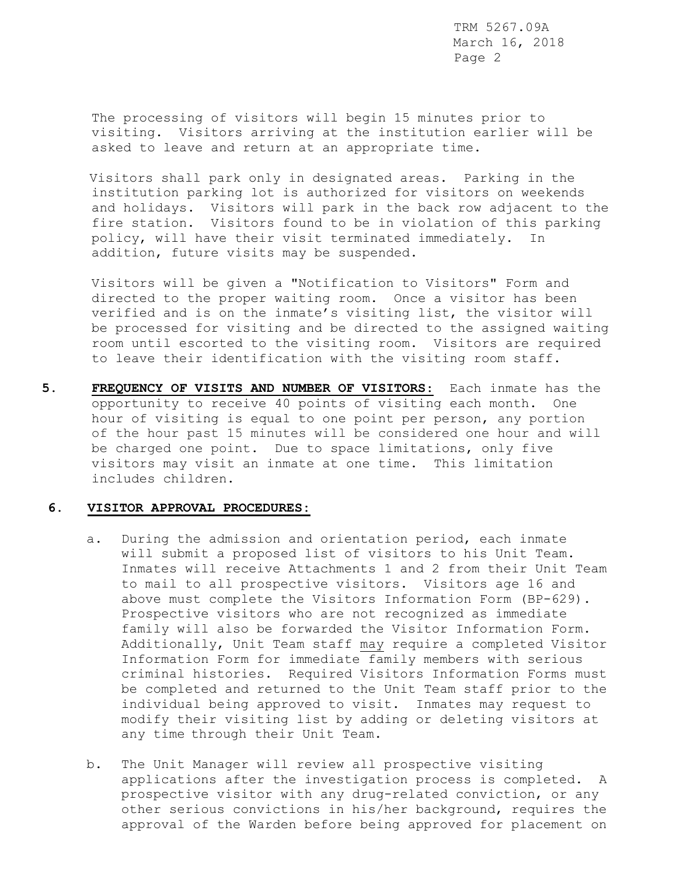> The processing of visitors will begin 15 minutes prior to visiting. Visitors arriving at the institution earlier will be asked to leave and return at an appropriate time.

Visitors shall park only in designated areas. Parking in the institution parking lot is authorized for visitors on weekends and holidays. Visitors will park in the back row adjacent to the fire station. Visitors found to be in violation of this parking policy, will have their visit terminated immediately. In addition, future visits may be suspended.

Visitors will be given a "Notification to Visitors" Form and directed to the proper waiting room. Once a visitor has been verified and is on the inmate's visiting list, the visitor will be processed for visiting and be directed to the assigned waiting room until escorted to the visiting room. Visitors are required to leave their identification with the visiting room staff.

**5. FREQUENCY OF VISITS AND NUMBER OF VISITORS**: Each inmate has the opportunity to receive 40 points of visiting each month. One hour of visiting is equal to one point per person, any portion of the hour past 15 minutes will be considered one hour and will be charged one point. Due to space limitations, only five visitors may visit an inmate at one time. This limitation includes children.

#### **6. VISITOR APPROVAL PROCEDURES:**

- a. During the admission and orientation period, each inmate will submit a proposed list of visitors to his Unit Team. Inmates will receive Attachments 1 and 2 from their Unit Team to mail to all prospective visitors. Visitors age 16 and above must complete the Visitors Information Form (BP-629). Prospective visitors who are not recognized as immediate family will also be forwarded the Visitor Information Form. Additionally, Unit Team staff may require a completed Visitor Information Form for immediate family members with serious criminal histories. Required Visitors Information Forms must be completed and returned to the Unit Team staff prior to the individual being approved to visit. Inmates may request to modify their visiting list by adding or deleting visitors at any time through their Unit Team.
- b. The Unit Manager will review all prospective visiting applications after the investigation process is completed. A prospective visitor with any drug-related conviction, or any other serious convictions in his/her background, requires the approval of the Warden before being approved for placement on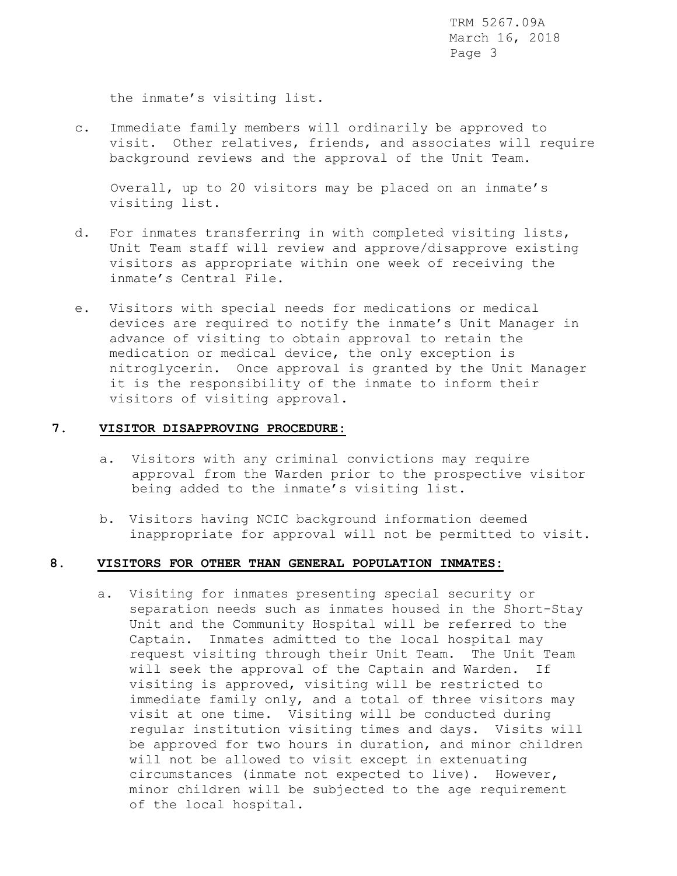the inmate's visiting list.

c. Immediate family members will ordinarily be approved to visit. Other relatives, friends, and associates will require background reviews and the approval of the Unit Team.

 Overall, up to 20 visitors may be placed on an inmate's visiting list.

- d. For inmates transferring in with completed visiting lists, Unit Team staff will review and approve/disapprove existing visitors as appropriate within one week of receiving the inmate's Central File.
- e. Visitors with special needs for medications or medical devices are required to notify the inmate's Unit Manager in advance of visiting to obtain approval to retain the medication or medical device, the only exception is nitroglycerin. Once approval is granted by the Unit Manager it is the responsibility of the inmate to inform their visitors of visiting approval.

### **7. VISITOR DISAPPROVING PROCEDURE:**

- a. Visitors with any criminal convictions may require approval from the Warden prior to the prospective visitor being added to the inmate's visiting list.
- b. Visitors having NCIC background information deemed inappropriate for approval will not be permitted to visit.

### **8. VISITORS FOR OTHER THAN GENERAL POPULATION INMATES:**

a. Visiting for inmates presenting special security or separation needs such as inmates housed in the Short-Stay Unit and the Community Hospital will be referred to the Captain. Inmates admitted to the local hospital may request visiting through their Unit Team. The Unit Team will seek the approval of the Captain and Warden. If visiting is approved, visiting will be restricted to immediate family only, and a total of three visitors may visit at one time. Visiting will be conducted during regular institution visiting times and days. Visits will be approved for two hours in duration, and minor children will not be allowed to visit except in extenuating circumstances (inmate not expected to live). However, minor children will be subjected to the age requirement of the local hospital.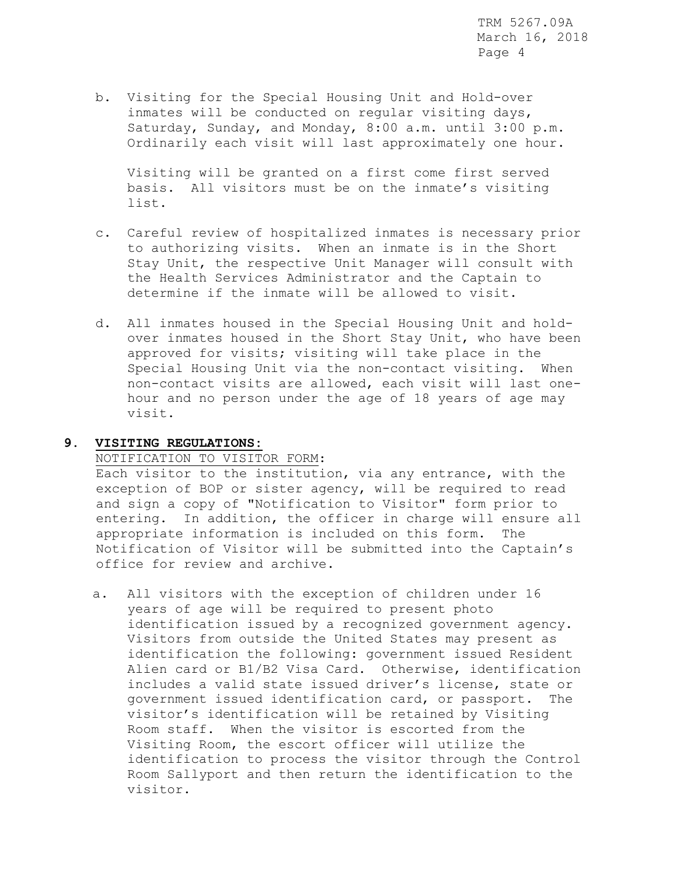b. Visiting for the Special Housing Unit and Hold-over inmates will be conducted on regular visiting days, Saturday, Sunday, and Monday, 8:00 a.m. until 3:00 p.m. Ordinarily each visit will last approximately one hour.

 Visiting will be granted on a first come first served basis. All visitors must be on the inmate's visiting list.

- c. Careful review of hospitalized inmates is necessary prior to authorizing visits. When an inmate is in the Short Stay Unit, the respective Unit Manager will consult with the Health Services Administrator and the Captain to determine if the inmate will be allowed to visit.
- d. All inmates housed in the Special Housing Unit and holdover inmates housed in the Short Stay Unit, who have been approved for visits; visiting will take place in the Special Housing Unit via the non-contact visiting. When non-contact visits are allowed, each visit will last onehour and no person under the age of 18 years of age may visit.

# **9. VISITING REGULATIONS:**

## NOTIFICATION TO VISITOR FORM:

Each visitor to the institution, via any entrance, with the exception of BOP or sister agency, will be required to read and sign a copy of "Notification to Visitor" form prior to entering. In addition, the officer in charge will ensure all appropriate information is included on this form. The Notification of Visitor will be submitted into the Captain's office for review and archive.

a. All visitors with the exception of children under 16 years of age will be required to present photo identification issued by a recognized government agency. Visitors from outside the United States may present as identification the following: government issued Resident Alien card or B1/B2 Visa Card. Otherwise, identification includes a valid state issued driver's license, state or government issued identification card, or passport. The visitor's identification will be retained by Visiting Room staff. When the visitor is escorted from the Visiting Room, the escort officer will utilize the identification to process the visitor through the Control Room Sallyport and then return the identification to the visitor.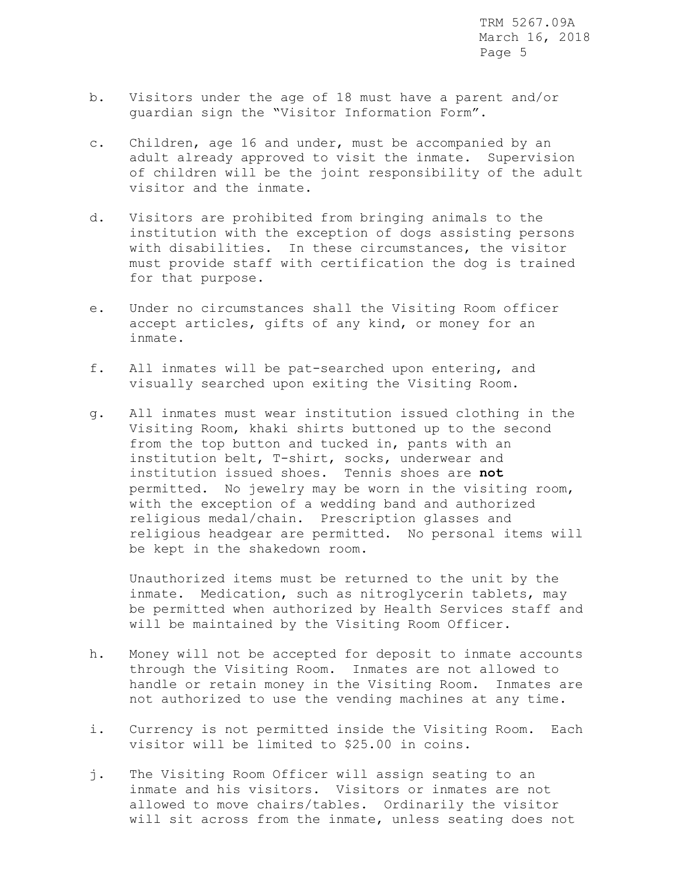- b. Visitors under the age of 18 must have a parent and/or guardian sign the "Visitor Information Form".
- c. Children, age 16 and under, must be accompanied by an adult already approved to visit the inmate. Supervision of children will be the joint responsibility of the adult visitor and the inmate.
- d. Visitors are prohibited from bringing animals to the institution with the exception of dogs assisting persons with disabilities. In these circumstances, the visitor must provide staff with certification the dog is trained for that purpose.
- e. Under no circumstances shall the Visiting Room officer accept articles, gifts of any kind, or money for an inmate.
- f. All inmates will be pat-searched upon entering, and visually searched upon exiting the Visiting Room.
- g. All inmates must wear institution issued clothing in the Visiting Room, khaki shirts buttoned up to the second from the top button and tucked in, pants with an institution belt, T-shirt, socks, underwear and institution issued shoes. Tennis shoes are **not** permitted. No jewelry may be worn in the visiting room, with the exception of a wedding band and authorized religious medal/chain. Prescription glasses and religious headgear are permitted. No personal items will be kept in the shakedown room.

Unauthorized items must be returned to the unit by the inmate. Medication, such as nitroglycerin tablets, may be permitted when authorized by Health Services staff and will be maintained by the Visiting Room Officer.

- h. Money will not be accepted for deposit to inmate accounts through the Visiting Room. Inmates are not allowed to handle or retain money in the Visiting Room. Inmates are not authorized to use the vending machines at any time.
- i. Currency is not permitted inside the Visiting Room. Each visitor will be limited to \$25.00 in coins.
- j. The Visiting Room Officer will assign seating to an inmate and his visitors. Visitors or inmates are not allowed to move chairs/tables. Ordinarily the visitor will sit across from the inmate, unless seating does not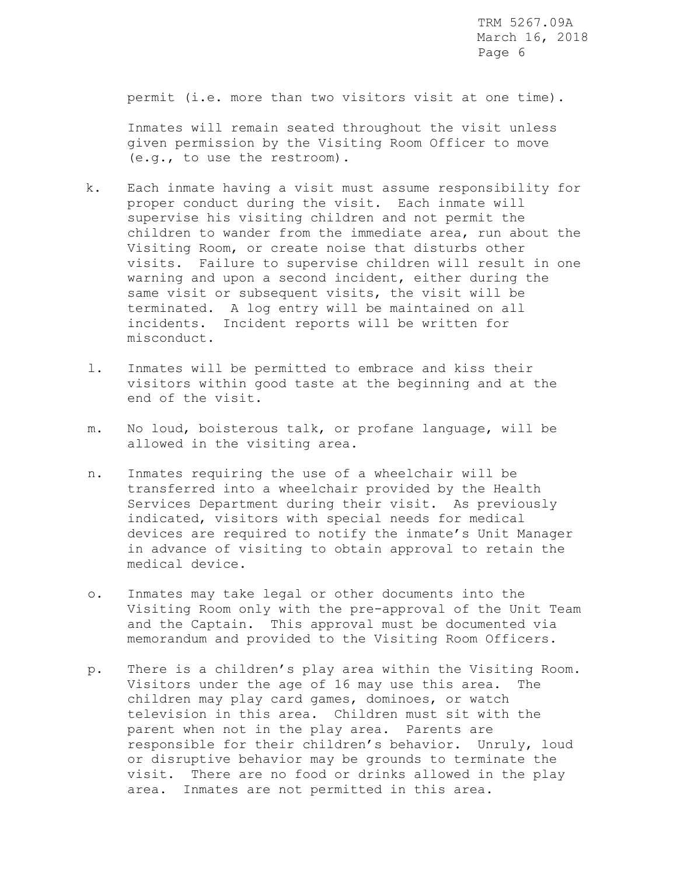permit (i.e. more than two visitors visit at one time).

 Inmates will remain seated throughout the visit unless given permission by the Visiting Room Officer to move (e.g., to use the restroom).

- k. Each inmate having a visit must assume responsibility for proper conduct during the visit. Each inmate will supervise his visiting children and not permit the children to wander from the immediate area, run about the Visiting Room, or create noise that disturbs other visits. Failure to supervise children will result in one warning and upon a second incident, either during the same visit or subsequent visits, the visit will be terminated. A log entry will be maintained on all incidents. Incident reports will be written for misconduct.
- l. Inmates will be permitted to embrace and kiss their visitors within good taste at the beginning and at the end of the visit.
- m. No loud, boisterous talk, or profane language, will be allowed in the visiting area.
- n. Inmates requiring the use of a wheelchair will be transferred into a wheelchair provided by the Health Services Department during their visit. As previously indicated, visitors with special needs for medical devices are required to notify the inmate's Unit Manager in advance of visiting to obtain approval to retain the medical device.
- o. Inmates may take legal or other documents into the Visiting Room only with the pre-approval of the Unit Team and the Captain. This approval must be documented via memorandum and provided to the Visiting Room Officers.
- p. There is a children's play area within the Visiting Room. Visitors under the age of 16 may use this area. The children may play card games, dominoes, or watch television in this area. Children must sit with the parent when not in the play area. Parents are responsible for their children's behavior. Unruly, loud or disruptive behavior may be grounds to terminate the visit. There are no food or drinks allowed in the play area. Inmates are not permitted in this area.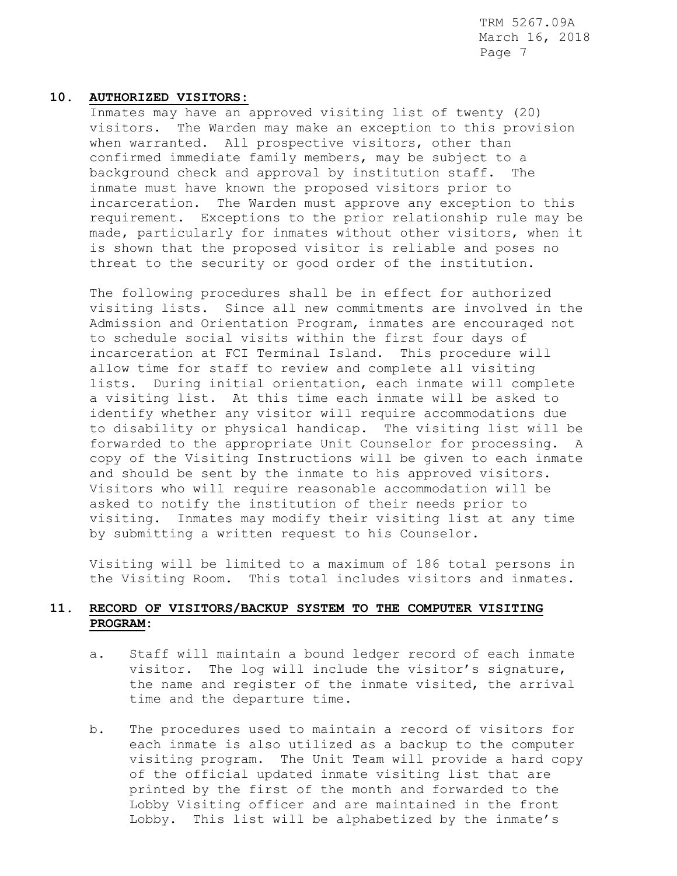### **10. AUTHORIZED VISITORS:**

Inmates may have an approved visiting list of twenty (20) visitors. The Warden may make an exception to this provision when warranted. All prospective visitors, other than confirmed immediate family members, may be subject to a background check and approval by institution staff. The inmate must have known the proposed visitors prior to incarceration. The Warden must approve any exception to this requirement. Exceptions to the prior relationship rule may be made, particularly for inmates without other visitors, when it is shown that the proposed visitor is reliable and poses no threat to the security or good order of the institution.

The following procedures shall be in effect for authorized visiting lists. Since all new commitments are involved in the Admission and Orientation Program, inmates are encouraged not to schedule social visits within the first four days of incarceration at FCI Terminal Island. This procedure will allow time for staff to review and complete all visiting lists. During initial orientation, each inmate will complete a visiting list. At this time each inmate will be asked to identify whether any visitor will require accommodations due to disability or physical handicap. The visiting list will be forwarded to the appropriate Unit Counselor for processing. copy of the Visiting Instructions will be given to each inmate and should be sent by the inmate to his approved visitors. Visitors who will require reasonable accommodation will be asked to notify the institution of their needs prior to visiting. Inmates may modify their visiting list at any time by submitting a written request to his Counselor.

Visiting will be limited to a maximum of 186 total persons in the Visiting Room. This total includes visitors and inmates.

# **11. RECORD OF VISITORS/BACKUP SYSTEM TO THE COMPUTER VISITING PROGRAM:**

- a. Staff will maintain a bound ledger record of each inmate visitor. The log will include the visitor's signature, the name and register of the inmate visited, the arrival time and the departure time.
- b. The procedures used to maintain a record of visitors for each inmate is also utilized as a backup to the computer visiting program. The Unit Team will provide a hard copy of the official updated inmate visiting list that are printed by the first of the month and forwarded to the Lobby Visiting officer and are maintained in the front Lobby. This list will be alphabetized by the inmate's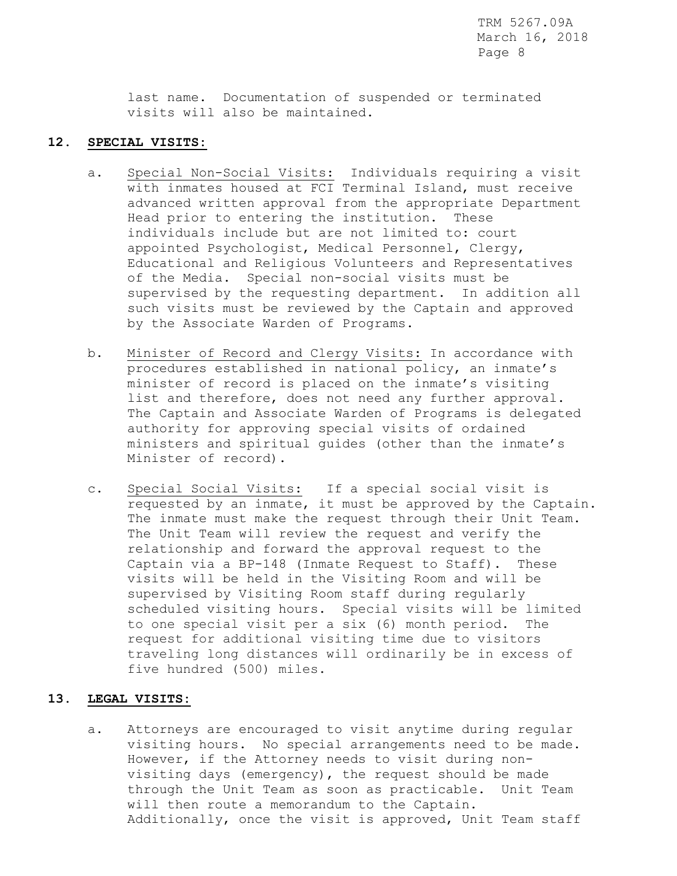last name. Documentation of suspended or terminated visits will also be maintained.

## **12. SPECIAL VISITS:**

- a. Special Non-Social Visits: Individuals requiring a visit with inmates housed at FCI Terminal Island, must receive advanced written approval from the appropriate Department Head prior to entering the institution. These individuals include but are not limited to: court appointed Psychologist, Medical Personnel, Clergy, Educational and Religious Volunteers and Representatives of the Media. Special non-social visits must be supervised by the requesting department. In addition all such visits must be reviewed by the Captain and approved by the Associate Warden of Programs.
- b. Minister of Record and Clergy Visits: In accordance with procedures established in national policy, an inmate's minister of record is placed on the inmate's visiting list and therefore, does not need any further approval. The Captain and Associate Warden of Programs is delegated authority for approving special visits of ordained ministers and spiritual guides (other than the inmate's Minister of record).
- c. Special Social Visits: If a special social visit is requested by an inmate, it must be approved by the Captain. The inmate must make the request through their Unit Team. The Unit Team will review the request and verify the relationship and forward the approval request to the Captain via a BP-148 (Inmate Request to Staff). These visits will be held in the Visiting Room and will be supervised by Visiting Room staff during regularly scheduled visiting hours. Special visits will be limited to one special visit per a six (6) month period. The request for additional visiting time due to visitors traveling long distances will ordinarily be in excess of five hundred (500) miles.

# **13. LEGAL VISITS:**

a. Attorneys are encouraged to visit anytime during regular visiting hours. No special arrangements need to be made. However, if the Attorney needs to visit during non visiting days (emergency), the request should be made through the Unit Team as soon as practicable. Unit Team will then route a memorandum to the Captain. Additionally, once the visit is approved, Unit Team staff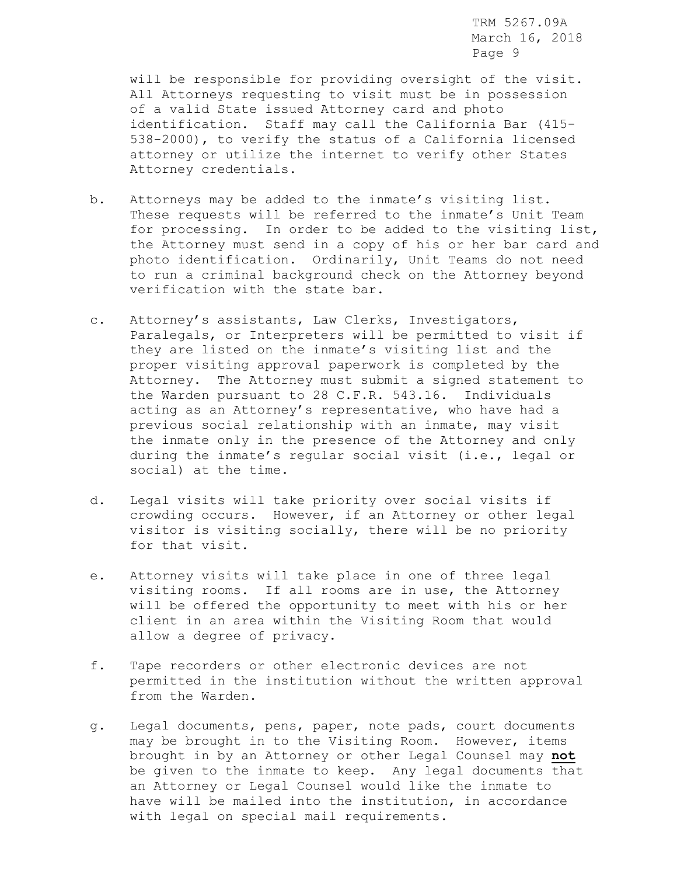will be responsible for providing oversight of the visit. All Attorneys requesting to visit must be in possession of a valid State issued Attorney card and photo identification. Staff may call the California Bar (415- 538-2000), to verify the status of a California licensed attorney or utilize the internet to verify other States Attorney credentials.

- b. Attorneys may be added to the inmate's visiting list. These requests will be referred to the inmate's Unit Team for processing. In order to be added to the visiting list, the Attorney must send in a copy of his or her bar card and photo identification. Ordinarily, Unit Teams do not need to run a criminal background check on the Attorney beyond verification with the state bar.
- c. Attorney's assistants, Law Clerks, Investigators, Paralegals, or Interpreters will be permitted to visit if they are listed on the inmate's visiting list and the proper visiting approval paperwork is completed by the Attorney. The Attorney must submit a signed statement to the Warden pursuant to 28 C.F.R. 543.16. Individuals acting as an Attorney's representative, who have had a previous social relationship with an inmate, may visit the inmate only in the presence of the Attorney and only during the inmate's regular social visit (i.e., legal or social) at the time.
- d. Legal visits will take priority over social visits if crowding occurs. However, if an Attorney or other legal visitor is visiting socially, there will be no priority for that visit.
- e. Attorney visits will take place in one of three legal visiting rooms. If all rooms are in use, the Attorney will be offered the opportunity to meet with his or her client in an area within the Visiting Room that would allow a degree of privacy.
- f. Tape recorders or other electronic devices are not permitted in the institution without the written approval from the Warden.
- g. Legal documents, pens, paper, note pads, court documents may be brought in to the Visiting Room. However, items brought in by an Attorney or other Legal Counsel may **not** be given to the inmate to keep. Any legal documents that an Attorney or Legal Counsel would like the inmate to have will be mailed into the institution, in accordance with legal on special mail requirements.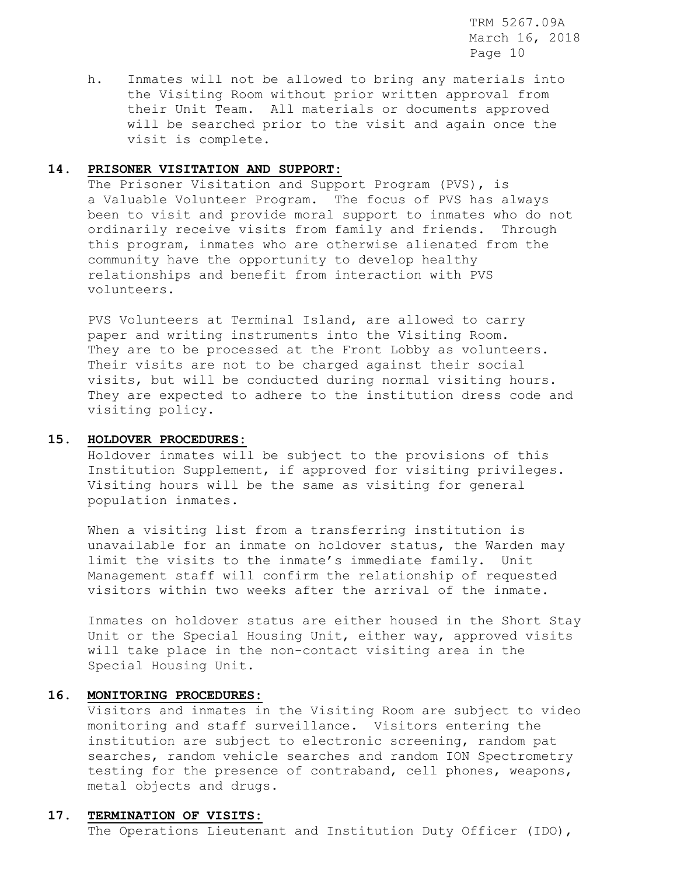h. Inmates will not be allowed to bring any materials into the Visiting Room without prior written approval from their Unit Team. All materials or documents approved will be searched prior to the visit and again once the visit is complete.

## **14. PRISONER VISITATION AND SUPPORT:**

 The Prisoner Visitation and Support Program (PVS), is a Valuable Volunteer Program. The focus of PVS has always been to visit and provide moral support to inmates who do not ordinarily receive visits from family and friends. Through this program, inmates who are otherwise alienated from the community have the opportunity to develop healthy relationships and benefit from interaction with PVS volunteers.

PVS Volunteers at Terminal Island, are allowed to carry paper and writing instruments into the Visiting Room. They are to be processed at the Front Lobby as volunteers. Their visits are not to be charged against their social visits, but will be conducted during normal visiting hours. They are expected to adhere to the institution dress code and visiting policy.

# **15. HOLDOVER PROCEDURES:**

 Holdover inmates will be subject to the provisions of this Institution Supplement, if approved for visiting privileges. Visiting hours will be the same as visiting for general population inmates.

 When a visiting list from a transferring institution is unavailable for an inmate on holdover status, the Warden may limit the visits to the inmate's immediate family. Unit Management staff will confirm the relationship of requested visitors within two weeks after the arrival of the inmate.

 Inmates on holdover status are either housed in the Short Stay Unit or the Special Housing Unit, either way, approved visits will take place in the non-contact visiting area in the Special Housing Unit.

# **16. MONITORING PROCEDURES:**

Visitors and inmates in the Visiting Room are subject to video monitoring and staff surveillance. Visitors entering the institution are subject to electronic screening, random pat searches, random vehicle searches and random ION Spectrometry testing for the presence of contraband, cell phones, weapons, metal objects and drugs.

## **17. TERMINATION OF VISITS:**

The Operations Lieutenant and Institution Duty Officer (IDO),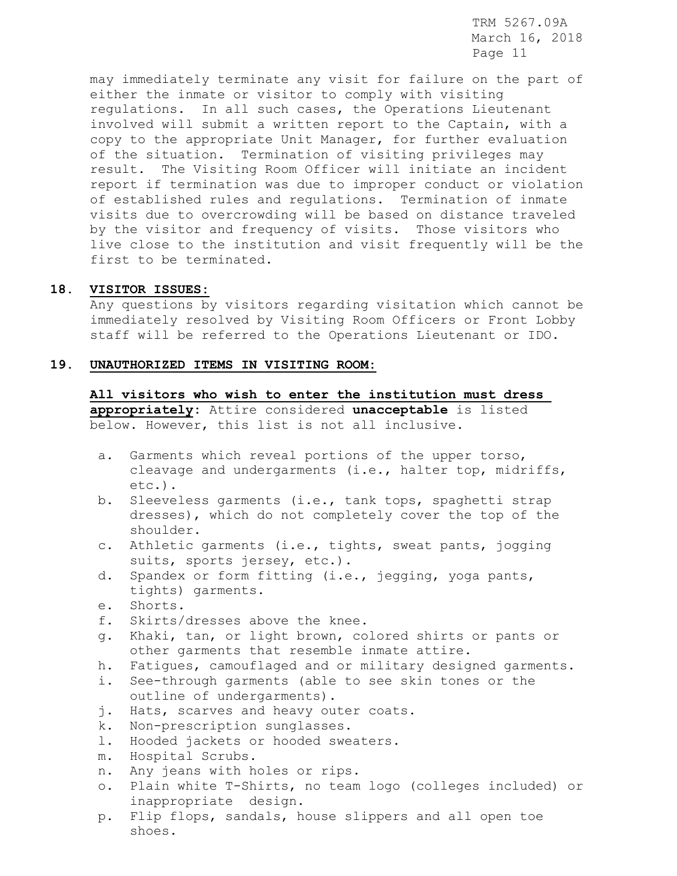may immediately terminate any visit for failure on the part of either the inmate or visitor to comply with visiting regulations. In all such cases, the Operations Lieutenant involved will submit a written report to the Captain, with a copy to the appropriate Unit Manager, for further evaluation of the situation. Termination of visiting privileges may result. The Visiting Room Officer will initiate an incident report if termination was due to improper conduct or violation of established rules and regulations. Termination of inmate visits due to overcrowding will be based on distance traveled by the visitor and frequency of visits. Those visitors who live close to the institution and visit frequently will be the first to be terminated.

### **18. VISITOR ISSUES:**

Any questions by visitors regarding visitation which cannot be immediately resolved by Visiting Room Officers or Front Lobby staff will be referred to the Operations Lieutenant or IDO.

### **19. UNAUTHORIZED ITEMS IN VISITING ROOM:**

**All visitors who wish to enter the institution must dress appropriately:** Attire considered **unacceptable** is listed below. However, this list is not all inclusive.

- a. Garments which reveal portions of the upper torso, cleavage and undergarments (i.e., halter top, midriffs, etc.).
- b. Sleeveless garments (i.e., tank tops, spaghetti strap dresses), which do not completely cover the top of the shoulder.
- c. Athletic garments (i.e., tights, sweat pants, jogging suits, sports jersey, etc.).
- d. Spandex or form fitting (i.e., jegging, yoga pants, tights) garments.
- e. Shorts.
- f. Skirts/dresses above the knee.
- g. Khaki, tan, or light brown, colored shirts or pants or other garments that resemble inmate attire.
- h. Fatigues, camouflaged and or military designed garments.
- i. See-through garments (able to see skin tones or the outline of undergarments).
- j. Hats, scarves and heavy outer coats.
- k. Non-prescription sunglasses.
- l. Hooded jackets or hooded sweaters.
- m. Hospital Scrubs.
- n. Any jeans with holes or rips.
- o. Plain white T-Shirts, no team logo (colleges included) or inappropriate design.
- p. Flip flops, sandals, house slippers and all open toe shoes.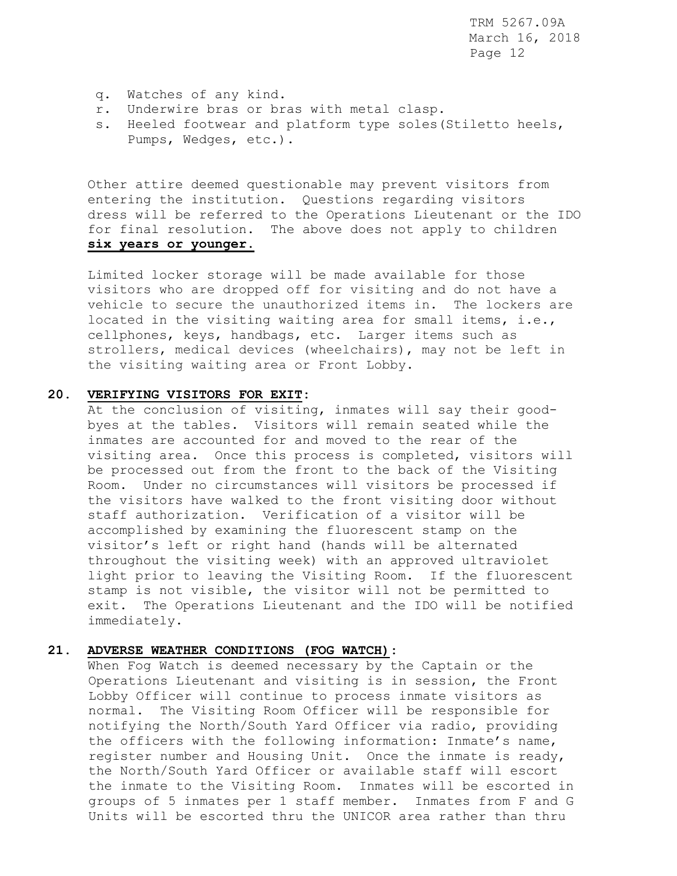- q. Watches of any kind.
- r. Underwire bras or bras with metal clasp.
- s. Heeled footwear and platform type soles(Stiletto heels, Pumps, Wedges, etc.).

 Other attire deemed questionable may prevent visitors from entering the institution. Questions regarding visitors dress will be referred to the Operations Lieutenant or the IDO for final resolution. The above does not apply to children **six years or younger.**

Limited locker storage will be made available for those visitors who are dropped off for visiting and do not have a vehicle to secure the unauthorized items in. The lockers are located in the visiting waiting area for small items, i.e., cellphones, keys, handbags, etc. Larger items such as strollers, medical devices (wheelchairs), may not be left in the visiting waiting area or Front Lobby.

#### **20. VERIFYING VISITORS FOR EXIT:**

At the conclusion of visiting, inmates will say their goodbyes at the tables. Visitors will remain seated while the inmates are accounted for and moved to the rear of the visiting area. Once this process is completed, visitors will be processed out from the front to the back of the Visiting Room. Under no circumstances will visitors be processed if the visitors have walked to the front visiting door without staff authorization. Verification of a visitor will be accomplished by examining the fluorescent stamp on the visitor's left or right hand (hands will be alternated throughout the visiting week) with an approved ultraviolet light prior to leaving the Visiting Room. If the fluorescent stamp is not visible, the visitor will not be permitted to exit. The Operations Lieutenant and the IDO will be notified immediately.

## **21. ADVERSE WEATHER CONDITIONS (FOG WATCH):**

When Fog Watch is deemed necessary by the Captain or the Operations Lieutenant and visiting is in session, the Front Lobby Officer will continue to process inmate visitors as normal. The Visiting Room Officer will be responsible for notifying the North/South Yard Officer via radio, providing the officers with the following information: Inmate's name, register number and Housing Unit. Once the inmate is ready, the North/South Yard Officer or available staff will escort the inmate to the Visiting Room. Inmates will be escorted in groups of 5 inmates per 1 staff member. Inmates from F and G Units will be escorted thru the UNICOR area rather than thru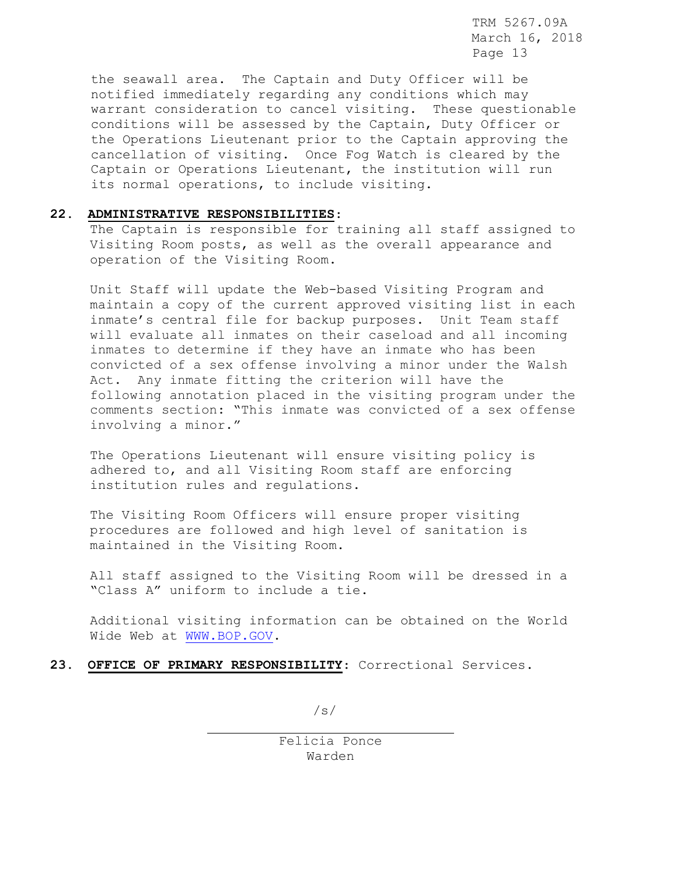the seawall area. The Captain and Duty Officer will be notified immediately regarding any conditions which may warrant consideration to cancel visiting. These questionable conditions will be assessed by the Captain, Duty Officer or the Operations Lieutenant prior to the Captain approving the cancellation of visiting. Once Fog Watch is cleared by the Captain or Operations Lieutenant, the institution will run its normal operations, to include visiting.

### **22. ADMINISTRATIVE RESPONSIBILITIES**:

The Captain is responsible for training all staff assigned to Visiting Room posts, as well as the overall appearance and operation of the Visiting Room.

Unit Staff will update the Web-based Visiting Program and maintain a copy of the current approved visiting list in each inmate's central file for backup purposes. Unit Team staff will evaluate all inmates on their caseload and all incoming inmates to determine if they have an inmate who has been convicted of a sex offense involving a minor under the Walsh Act. Any inmate fitting the criterion will have the following annotation placed in the visiting program under the comments section: "This inmate was convicted of a sex offense involving a minor."

The Operations Lieutenant will ensure visiting policy is adhered to, and all Visiting Room staff are enforcing institution rules and regulations.

The Visiting Room Officers will ensure proper visiting procedures are followed and high level of sanitation is maintained in the Visiting Room.

All staff assigned to the Visiting Room will be dressed in a "Class A" uniform to include a tie.

Additional visiting information can be obtained on the World Wide Web at [WWW.BOP.GOV.](http://www.bop.gov/)

**23. OFFICE OF PRIMARY RESPONSIBILITY**: Correctional Services.

 $\sqrt{s/}$ 

Felicia Ponce Warden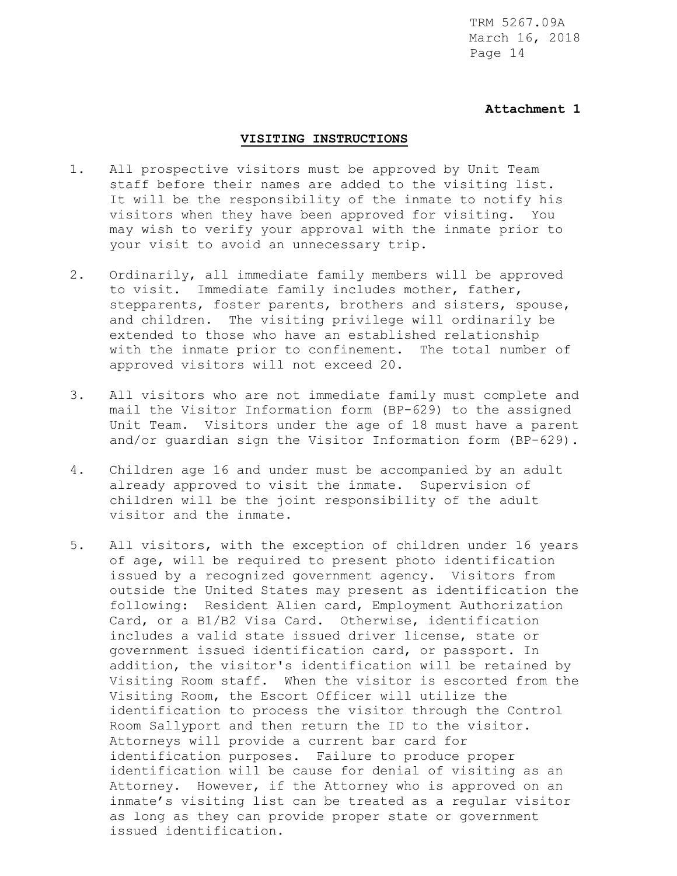## **Attachment 1**

#### **VISITING INSTRUCTIONS**

- 1. All prospective visitors must be approved by Unit Team staff before their names are added to the visiting list. It will be the responsibility of the inmate to notify his visitors when they have been approved for visiting. You may wish to verify your approval with the inmate prior to your visit to avoid an unnecessary trip.
- 2. Ordinarily, all immediate family members will be approved to visit. Immediate family includes mother, father, stepparents, foster parents, brothers and sisters, spouse, and children. The visiting privilege will ordinarily be extended to those who have an established relationship with the inmate prior to confinement. The total number of approved visitors will not exceed 20.
- 3. All visitors who are not immediate family must complete and mail the Visitor Information form (BP-629) to the assigned Unit Team. Visitors under the age of 18 must have a parent and/or guardian sign the Visitor Information form (BP-629).
- 4. Children age 16 and under must be accompanied by an adult already approved to visit the inmate. Supervision of children will be the joint responsibility of the adult visitor and the inmate.
- 5. All visitors, with the exception of children under 16 years of age, will be required to present photo identification issued by a recognized government agency. Visitors from outside the United States may present as identification the following: Resident Alien card, Employment Authorization Card, or a B1/B2 Visa Card. Otherwise, identification includes a valid state issued driver license, state or government issued identification card, or passport. In addition, the visitor's identification will be retained by Visiting Room staff. When the visitor is escorted from the Visiting Room, the Escort Officer will utilize the identification to process the visitor through the Control Room Sallyport and then return the ID to the visitor. Attorneys will provide a current bar card for identification purposes. Failure to produce proper identification will be cause for denial of visiting as an Attorney. However, if the Attorney who is approved on an inmate's visiting list can be treated as a regular visitor as long as they can provide proper state or government issued identification.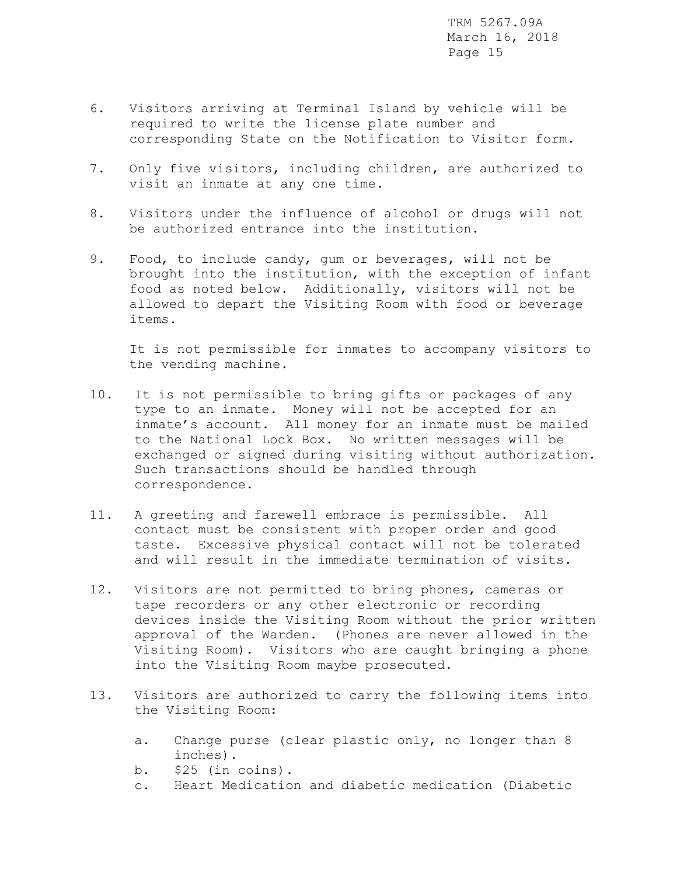- 6. Visitors arriving at Terminal Island by vehicle will be required to write the license plate number and corresponding State on the Notification to Visitor form.
- 7. Only five visitors, including children, are authorized to visit an inmate at any one time.
- 8. Visitors under the influence of alcohol or drugs will not be authorized entrance into the institution.
- 9. Food, to include candy, gum or beverages, will not be brought into the institution, with the exception of infant food as noted below. Additionally, visitors will not be allowed to depart the Visiting Room with food or beverage items.

 It is not permissible for inmates to accompany visitors to the vending machine.

- 10. It is not permissible to bring gifts or packages of any type to an inmate. Money will not be accepted for an inmate's account. All money for an inmate must be mailed to the National Lock Box. No written messages will be exchanged or signed during visiting without authorization. Such transactions should be handled through correspondence.
- 11. A greeting and farewell embrace is permissible. All contact must be consistent with proper order and good taste. Excessive physical contact will not be tolerated and will result in the immediate termination of visits.
- 12. Visitors are not permitted to bring phones, cameras or tape recorders or any other electronic or recording devices inside the Visiting Room without the prior written approval of the Warden. (Phones are never allowed in the Visiting Room). Visitors who are caught bringing a phone into the Visiting Room maybe prosecuted.
- 13. Visitors are authorized to carry the following items into the Visiting Room:
	- a. Change purse (clear plastic only, no longer than 8 inches).
	- b. \$25 (in coins).
	- c. Heart Medication and diabetic medication (Diabetic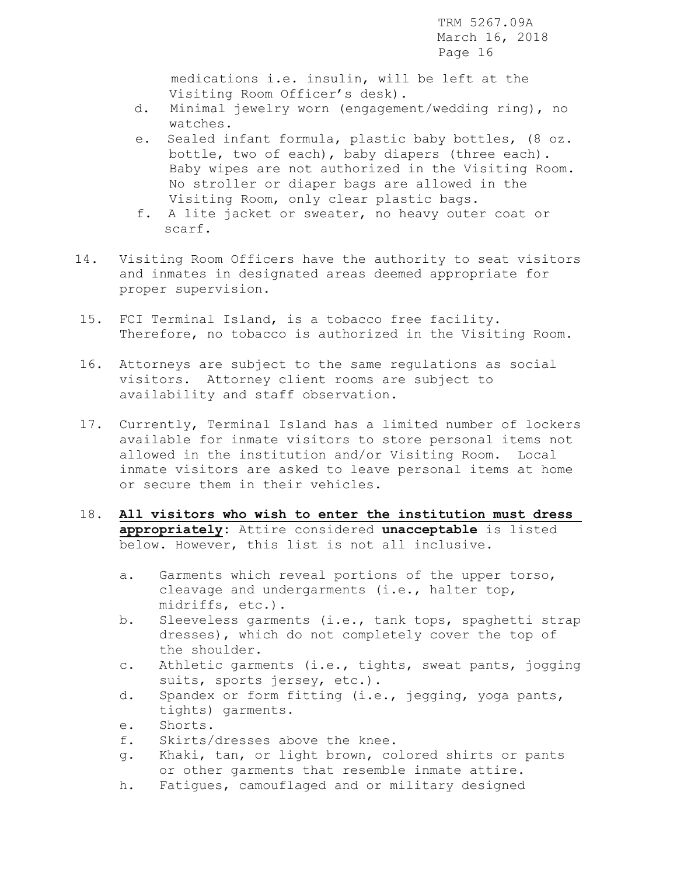medications i.e. insulin, will be left at the Visiting Room Officer's desk).

- d. Minimal jewelry worn (engagement/wedding ring), no watches.
- e. Sealed infant formula, plastic baby bottles, (8 oz. bottle, two of each), baby diapers (three each). Baby wipes are not authorized in the Visiting Room. No stroller or diaper bags are allowed in the Visiting Room, only clear plastic bags.
- f. A lite jacket or sweater, no heavy outer coat or scarf.
- 14. Visiting Room Officers have the authority to seat visitors and inmates in designated areas deemed appropriate for proper supervision.
- 15. FCI Terminal Island, is a tobacco free facility. Therefore, no tobacco is authorized in the Visiting Room.
- 16. Attorneys are subject to the same regulations as social visitors. Attorney client rooms are subject to availability and staff observation.
- 17. Currently, Terminal Island has a limited number of lockers available for inmate visitors to store personal items not allowed in the institution and/or Visiting Room. Local inmate visitors are asked to leave personal items at home or secure them in their vehicles.
- 18. **All visitors who wish to enter the institution must dress appropriately:** Attire considered **unacceptable** is listed below. However, this list is not all inclusive.
	- a. Garments which reveal portions of the upper torso, cleavage and undergarments (i.e., halter top, midriffs, etc.).
	- b. Sleeveless garments (i.e., tank tops, spaghetti strap dresses), which do not completely cover the top of the shoulder.
	- c. Athletic garments (i.e., tights, sweat pants, jogging suits, sports jersey, etc.).
	- d. Spandex or form fitting (i.e., jegging, yoga pants, tights) garments.
	- e. Shorts.
	- f. Skirts/dresses above the knee.
	- g. Khaki, tan, or light brown, colored shirts or pants or other garments that resemble inmate attire.
	- h. Fatigues, camouflaged and or military designed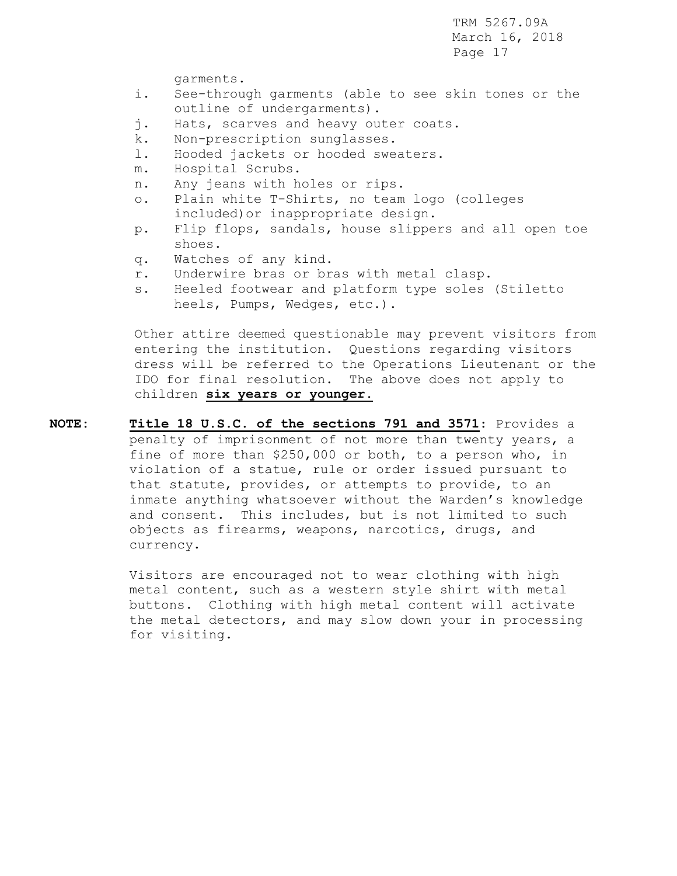garments.

- i. See-through garments (able to see skin tones or the outline of undergarments).
- j. Hats, scarves and heavy outer coats.
- k. Non-prescription sunglasses.
- l. Hooded jackets or hooded sweaters.
- m. Hospital Scrubs.
- n. Any jeans with holes or rips.
- o. Plain white T-Shirts, no team logo (colleges included)or inappropriate design.
- p. Flip flops, sandals, house slippers and all open toe shoes.
- q. Watches of any kind.
- r. Underwire bras or bras with metal clasp.
- s. Heeled footwear and platform type soles (Stiletto heels, Pumps, Wedges, etc.).

 Other attire deemed questionable may prevent visitors from entering the institution. Questions regarding visitors dress will be referred to the Operations Lieutenant or the IDO for final resolution. The above does not apply to children **six years or younger.**

**NOTE: Title 18 U.S.C. of the sections 791 and 3571**: Provides a penalty of imprisonment of not more than twenty years, a fine of more than \$250,000 or both, to a person who, in violation of a statue, rule or order issued pursuant to that statute, provides, or attempts to provide, to an inmate anything whatsoever without the Warden's knowledge and consent. This includes, but is not limited to such objects as firearms, weapons, narcotics, drugs, and currency.

> Visitors are encouraged not to wear clothing with high metal content, such as a western style shirt with metal buttons. Clothing with high metal content will activate the metal detectors, and may slow down your in processing for visiting.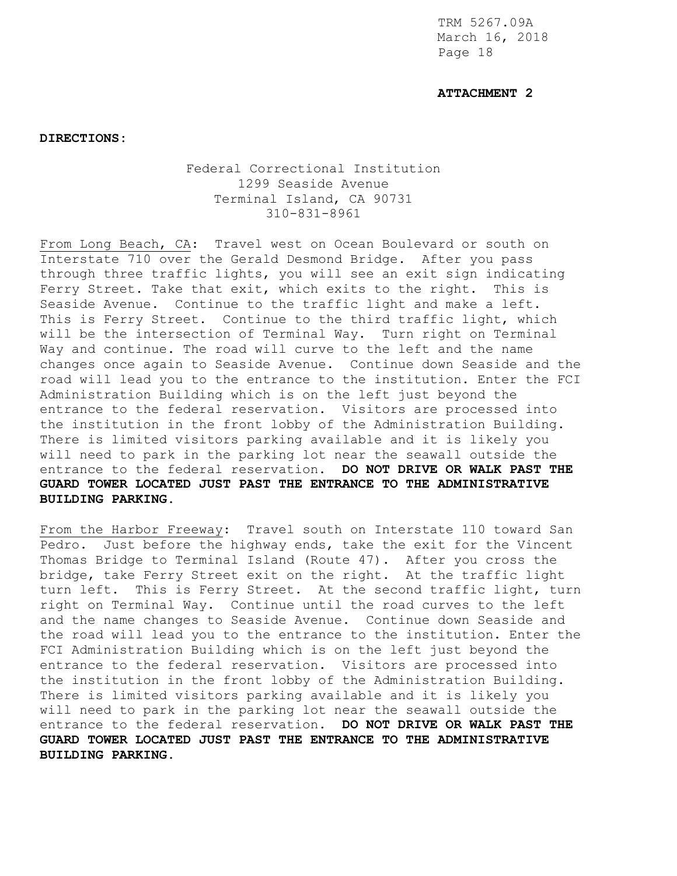### **ATTACHMENT 2**

**DIRECTIONS:**

# Federal Correctional Institution 1299 Seaside Avenue Terminal Island, CA 90731 310-831-8961

From Long Beach, CA: Travel west on Ocean Boulevard or south on Interstate 710 over the Gerald Desmond Bridge. After you pass through three traffic lights, you will see an exit sign indicating Ferry Street. Take that exit, which exits to the right. This is Seaside Avenue. Continue to the traffic light and make a left. This is Ferry Street. Continue to the third traffic light, which will be the intersection of Terminal Way. Turn right on Terminal Way and continue. The road will curve to the left and the name changes once again to Seaside Avenue. Continue down Seaside and the road will lead you to the entrance to the institution. Enter the FCI Administration Building which is on the left just beyond the entrance to the federal reservation. Visitors are processed into the institution in the front lobby of the Administration Building. There is limited visitors parking available and it is likely you will need to park in the parking lot near the seawall outside the entrance to the federal reservation. **DO NOT DRIVE OR WALK PAST THE GUARD TOWER LOCATED JUST PAST THE ENTRANCE TO THE ADMINISTRATIVE BUILDING PARKING.**

From the Harbor Freeway: Travel south on Interstate 110 toward San Pedro. Just before the highway ends, take the exit for the Vincent Thomas Bridge to Terminal Island (Route 47). After you cross the bridge, take Ferry Street exit on the right. At the traffic light turn left. This is Ferry Street. At the second traffic light, turn right on Terminal Way. Continue until the road curves to the left and the name changes to Seaside Avenue. Continue down Seaside and the road will lead you to the entrance to the institution. Enter the FCI Administration Building which is on the left just beyond the entrance to the federal reservation. Visitors are processed into the institution in the front lobby of the Administration Building. There is limited visitors parking available and it is likely you will need to park in the parking lot near the seawall outside the entrance to the federal reservation**. DO NOT DRIVE OR WALK PAST THE GUARD TOWER LOCATED JUST PAST THE ENTRANCE TO THE ADMINISTRATIVE BUILDING PARKING.**